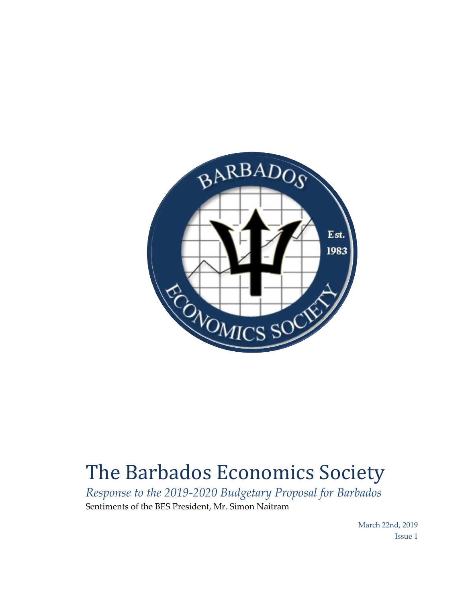

## The Barbados Economics Society

*Response to the 2019-2020 Budgetary Proposal for Barbados* Sentiments of the BES President, Mr. Simon Naitram

> March 22nd, 2019 Issue 1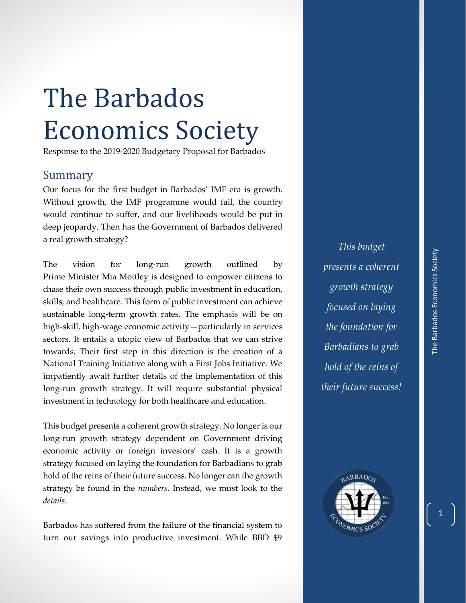## The Barbados Economics Society

Response to the 2019-2020 Budgetary Proposal for Barbados

## Summary

Our focus for the first budget in Barbados' IMF era is growth. Without growth, the IMF programme would fail, the country would continue to suffer, and our livelihoods would be put in deep jeopardy. Then has the Government of Barbados delivered a real growth strategy?

The vision for long-run growth outlined by Prime Minister Mia Mottley is designed to empower citizens to chase their own success through public investment in education, skills, and healthcare. This form of public investment can achieve sustainable long-term growth rates. The emphasis will be on high-skill, high-wage economic activity—particularly in services sectors. It entails a utopic view of Barbados that we can strive towards. Their first step in this direction is the creation of a National Training Initiative along with a First Jobs Initiative. We impatiently await further details of the implementation of this long-run growth strategy. It will require substantial physical investment in technology for both healthcare and education.

This budget presents a coherent growth strategy. No longer is our long-run growth strategy dependent on Government driving economic activity or foreign investors' cash. It is a growth strategy focused on laying the foundation for Barbadians to grab hold of the reins of their future success. No longer can the growth strategy be found in the *numbers*. Instead, we must look to the *details*.

Barbados has suffered from the failure of the financial system to turn our savings into productive investment. While BBD \$9

*This budget presents a coherent growth strategy focused on laying the foundation for Barbadians to grab hold of the reins of their future success!*

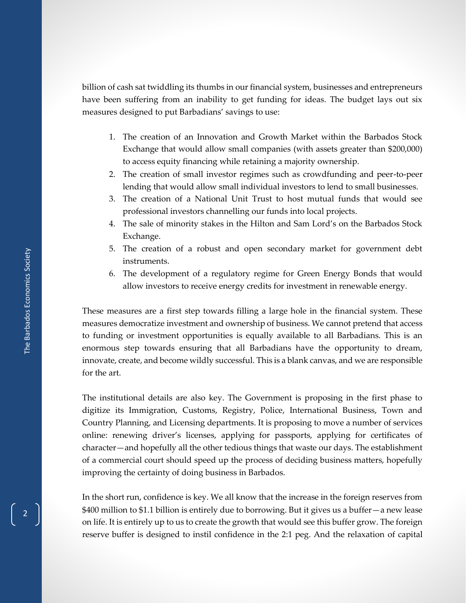billion of cash sat twiddling its thumbs in our financial system, businesses and entrepreneurs have been suffering from an inability to get funding for ideas. The budget lays out six measures designed to put Barbadians' savings to use:

- 1. The creation of an Innovation and Growth Market within the Barbados Stock Exchange that would allow small companies (with assets greater than \$200,000) to access equity financing while retaining a majority ownership.
- 2. The creation of small investor regimes such as crowdfunding and peer-to-peer lending that would allow small individual investors to lend to small businesses.
- 3. The creation of a National Unit Trust to host mutual funds that would see professional investors channelling our funds into local projects.
- 4. The sale of minority stakes in the Hilton and Sam Lord's on the Barbados Stock Exchange.
- 5. The creation of a robust and open secondary market for government debt instruments.
- 6. The development of a regulatory regime for Green Energy Bonds that would allow investors to receive energy credits for investment in renewable energy.

These measures are a first step towards filling a large hole in the financial system. These measures democratize investment and ownership of business. We cannot pretend that access to funding or investment opportunities is equally available to all Barbadians. This is an enormous step towards ensuring that all Barbadians have the opportunity to dream, innovate, create, and become wildly successful. This is a blank canvas, and we are responsible for the art.

The institutional details are also key. The Government is proposing in the first phase to digitize its Immigration, Customs, Registry, Police, International Business, Town and Country Planning, and Licensing departments. It is proposing to move a number of services online: renewing driver's licenses, applying for passports, applying for certificates of character—and hopefully all the other tedious things that waste our days. The establishment of a commercial court should speed up the process of deciding business matters, hopefully improving the certainty of doing business in Barbados.

In the short run, confidence is key. We all know that the increase in the foreign reserves from \$400 million to \$1.1 billion is entirely due to borrowing. But it gives us a buffer—a new lease on life. It is entirely up to us to create the growth that would see this buffer grow. The foreign reserve buffer is designed to instil confidence in the 2:1 peg. And the relaxation of capital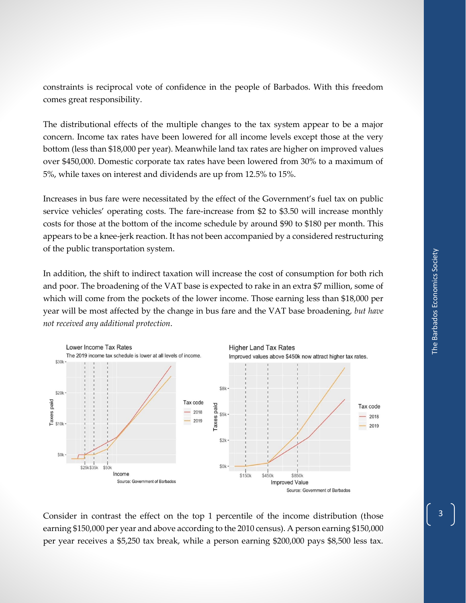constraints is reciprocal vote of confidence in the people of Barbados. With this freedom comes great responsibility.

The distributional effects of the multiple changes to the tax system appear to be a major concern. Income tax rates have been lowered for all income levels except those at the very bottom (less than \$18,000 per year). Meanwhile land tax rates are higher on improved values over \$450,000. Domestic corporate tax rates have been lowered from 30% to a maximum of 5%, while taxes on interest and dividends are up from 12.5% to 15%.

Increases in bus fare were necessitated by the effect of the Government's fuel tax on public service vehicles' operating costs. The fare-increase from \$2 to \$3.50 will increase monthly costs for those at the bottom of the income schedule by around \$90 to \$180 per month. This appears to be a knee-jerk reaction. It has not been accompanied by a considered restructuring of the public transportation system.

In addition, the shift to indirect taxation will increase the cost of consumption for both rich and poor. The broadening of the VAT base is expected to rake in an extra \$7 million, some of which will come from the pockets of the lower income. Those earning less than \$18,000 per year will be most affected by the change in bus fare and the VAT base broadening, *but have not received any additional protection*.



Consider in contrast the effect on the top 1 percentile of the income distribution (those earning \$150,000 per year and above according to the 2010 census). A person earning \$150,000 per year receives a \$5,250 tax break, while a person earning \$200,000 pays \$8,500 less tax.